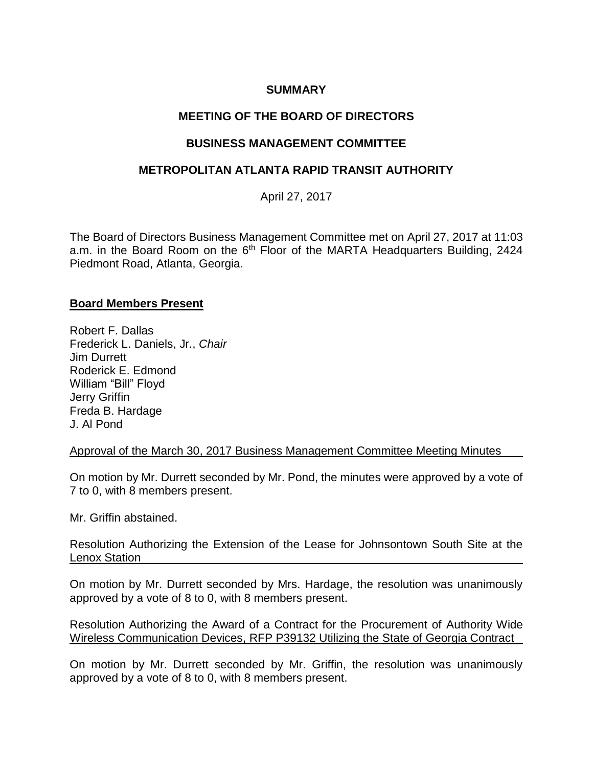## **SUMMARY**

# **MEETING OF THE BOARD OF DIRECTORS**

## **BUSINESS MANAGEMENT COMMITTEE**

## **METROPOLITAN ATLANTA RAPID TRANSIT AUTHORITY**

April 27, 2017

The Board of Directors Business Management Committee met on April 27, 2017 at 11:03 a.m. in the Board Room on the 6<sup>th</sup> Floor of the MARTA Headquarters Building, 2424 Piedmont Road, Atlanta, Georgia.

#### **Board Members Present**

Robert F. Dallas Frederick L. Daniels, Jr., *Chair*  Jim Durrett Roderick E. Edmond William "Bill" Floyd Jerry Griffin Freda B. Hardage J. Al Pond

Approval of the March 30, 2017 Business Management Committee Meeting Minutes

On motion by Mr. Durrett seconded by Mr. Pond, the minutes were approved by a vote of 7 to 0, with 8 members present.

Mr. Griffin abstained.

Resolution Authorizing the Extension of the Lease for Johnsontown South Site at the Lenox Station

On motion by Mr. Durrett seconded by Mrs. Hardage, the resolution was unanimously approved by a vote of 8 to 0, with 8 members present.

Resolution Authorizing the Award of a Contract for the Procurement of Authority Wide Wireless Communication Devices, RFP P39132 Utilizing the State of Georgia Contract

On motion by Mr. Durrett seconded by Mr. Griffin, the resolution was unanimously approved by a vote of 8 to 0, with 8 members present.